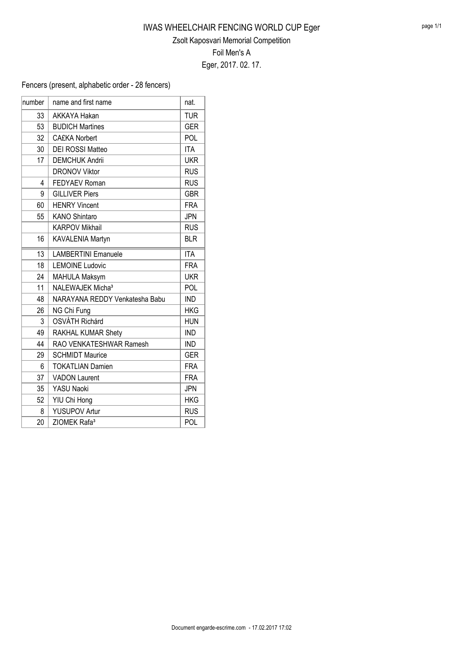Fencers (present, alphabetic order - 28 fencers)

| number | name and first name            | nat.       |
|--------|--------------------------------|------------|
| 33     | <b>AKKAYA Hakan</b>            | <b>TUR</b> |
| 53     | <b>BUDICH Martines</b>         | <b>GER</b> |
| 32     | <b>CA£KA Norbert</b>           | POL        |
| 30     | <b>DEI ROSSI Matteo</b>        | <b>ITA</b> |
| 17     | <b>DEMCHUK Andrii</b>          | <b>UKR</b> |
|        | <b>DRONOV Viktor</b>           | <b>RUS</b> |
| 4      | <b>FEDYAEV Roman</b>           | <b>RUS</b> |
| 9      | <b>GILLIVER Piers</b>          | <b>GBR</b> |
| 60     | <b>HENRY Vincent</b>           | <b>FRA</b> |
| 55     | <b>KANO Shintaro</b>           | <b>JPN</b> |
|        | <b>KARPOV Mikhail</b>          | <b>RUS</b> |
| 16     | KAVALENIA Martyn               | <b>BLR</b> |
| 13     | <b>LAMBERTINI Emanuele</b>     | <b>ITA</b> |
| 18     | <b>LEMOINE Ludovic</b>         | <b>FRA</b> |
| 24     | <b>MAHULA Maksym</b>           | <b>UKR</b> |
| 11     | NALEWAJEK Micha <sup>3</sup>   | POL        |
| 48     | NARAYANA REDDY Venkatesha Babu | <b>IND</b> |
| 26     | NG Chi Fung                    | <b>HKG</b> |
| 3      | <b>OSVÁTH Richárd</b>          | <b>HUN</b> |
| 49     | RAKHAL KUMAR Shety             | <b>IND</b> |
| 44     | RAO VENKATESHWAR Ramesh        | <b>IND</b> |
| 29     | <b>SCHMIDT Maurice</b>         | <b>GER</b> |
| 6      | <b>TOKATLIAN Damien</b>        | <b>FRA</b> |
| 37     | <b>VADON Laurent</b>           | <b>FRA</b> |
| 35     | YASU Naoki                     | <b>JPN</b> |
| 52     | YIU Chi Hong                   | <b>HKG</b> |
| 8      | YUSUPOV Artur                  | <b>RUS</b> |
| 20     | ZIOMEK Rafa <sup>3</sup>       | POL        |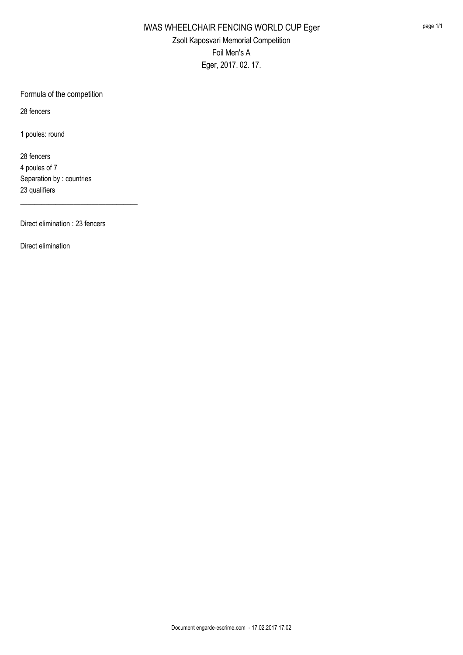Formula of the competition

28 fencers

1 poules: round

28 fencers 4 poules of 7 Separation by : countries 23 qualifiers

Direct elimination : 23 fencers

\_\_\_\_\_\_\_\_\_\_\_\_\_\_\_\_\_\_\_\_\_\_\_\_\_\_\_\_\_\_\_\_\_

Direct elimination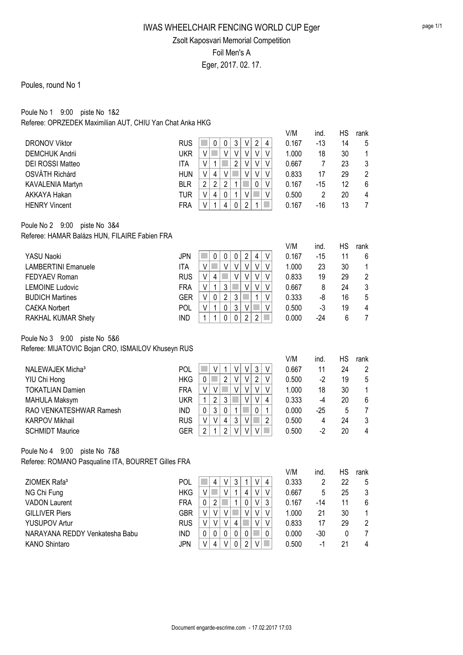### Poules, round No 1

### Poule No 1 9:00 piste No 1&2 Referee: OPRZEDEK Maximilian AUT, CHIU Yan Chat Anka HKG

| <b>DRONOV Viktor</b><br><b>DEMCHUK Andrii</b><br>DEI ROSSI Matteo<br>OSVÁTH Richárd<br>KAVALENIA Martyn<br>AKKAYA Hakan                                                       | <b>RUS</b><br><b>UKR</b><br><b>ITA</b><br><b>HUN</b><br><b>BLR</b><br><b>TUR</b>               | $\mathbf{3}$<br>V<br>$\sqrt{2}$<br>$\pmb{0}$<br>0<br>4<br>$\mathbb{R}^3$<br>$\vee$<br>V<br>$\vee$<br>V<br>$\vee$<br>$\vee$<br>$\overline{2}$<br>$\mathsf V$<br>$\vee$<br>V<br>$\mathbf 1$<br>V<br>$\overline{4}$<br>$\vee$<br>V<br>V<br>V<br>V<br>$\sqrt{2}$<br>$\overline{2}$<br>$\overline{2}$<br>1<br>0<br>V<br>$\pmb{4}$<br>V<br>$\pmb{0}$<br>1<br>V<br>$\vee$                                                                                              | V/M<br>0.167<br>1.000<br>0.667<br>0.833<br>0.167<br>0.500          | ind.<br>$-13$<br>18<br>7<br>17<br>$-15$<br>$\overline{2}$           | HS<br>14<br>30<br>23<br>29<br>12<br>20      | rank<br>5<br>1<br>3<br>$\overline{2}$<br>6<br>4                   |
|-------------------------------------------------------------------------------------------------------------------------------------------------------------------------------|------------------------------------------------------------------------------------------------|-----------------------------------------------------------------------------------------------------------------------------------------------------------------------------------------------------------------------------------------------------------------------------------------------------------------------------------------------------------------------------------------------------------------------------------------------------------------|--------------------------------------------------------------------|---------------------------------------------------------------------|---------------------------------------------|-------------------------------------------------------------------|
| <b>HENRY Vincent</b><br>Poule No 2 9:00<br>piste No 3&4<br>Referee: HAMAR Balázs HUN, FILAIRE Fabien FRA                                                                      | <b>FRA</b>                                                                                     | $\mathbf{1}$<br>$\overline{2}$<br>V<br>4<br>$\mathbf 0$<br>$\mathbf{1}$                                                                                                                                                                                                                                                                                                                                                                                         | 0.167                                                              | $-16$                                                               | 13                                          | $\overline{7}$                                                    |
| YASU Naoki<br><b>LAMBERTINI Emanuele</b><br>FEDYAEV Roman<br><b>LEMOINE Ludovic</b><br><b>BUDICH Martines</b><br><b>CA£KA Norbert</b><br>RAKHAL KUMAR Shety                   | <b>JPN</b><br><b>ITA</b><br><b>RUS</b><br><b>FRA</b><br><b>GER</b><br><b>POL</b><br><b>IND</b> | $\overline{c}$<br>0<br>$\pmb{0}$<br>$\pmb{0}$<br>4<br>V<br>$\vee$<br>$\vee$<br>T<br>$\vee$<br>$\vee$<br>$\vee$<br>$\vee$<br>$\vee$<br>$\vee$<br>V<br>$\overline{\mathbf{4}}$<br>V<br>V<br>$\sqrt{3}$<br>1<br>V<br>V<br>V<br>V<br>$\pmb{0}$<br>$\overline{\mathbf{c}}$<br>$\mathfrak{3}$<br>V<br>$\mathbf{1}$<br>V<br>$\mathbf 1$<br>0<br>$\sqrt{3}$<br>V<br>V<br>V<br>$\mathbf{1}$<br>$\mathbf{1}$<br>0<br>$\mathbf 0$<br>$\overline{2}$<br>$\overline{2}$      | V/M<br>0.167<br>1.000<br>0.833<br>0.667<br>0.333<br>0.500<br>0.000 | ind.<br>$-15$<br>23<br>19<br>8<br>-8<br>$-3$<br>$-24$               | НS<br>11<br>30<br>29<br>24<br>16<br>19<br>6 | rank<br>6<br>1<br>$\overline{2}$<br>3<br>5<br>4<br>$\overline{7}$ |
| Poule No 3 9:00<br>piste No 5&6<br>Referee: MIJATOVIC Bojan CRO, ISMAILOV Khuseyn RUS                                                                                         |                                                                                                |                                                                                                                                                                                                                                                                                                                                                                                                                                                                 |                                                                    |                                                                     |                                             |                                                                   |
| NALEWAJEK Micha <sup>3</sup><br>YIU Chi Hong<br><b>TOKATLIAN Damien</b><br><b>MAHULA Maksym</b><br>RAO VENKATESHWAR Ramesh<br><b>KARPOV Mikhail</b><br><b>SCHMIDT Maurice</b> | <b>POL</b><br><b>HKG</b><br><b>FRA</b><br><b>UKR</b><br>IND<br><b>RUS</b><br><b>GER</b>        | $\sqrt{3}$<br>$\vee$<br>V<br>V<br>1<br>V<br>$\overline{2}$<br>$\sqrt{2}$<br>$\vee$<br>$\pmb{0}$<br>$\mathbb{R}^n$<br>$\vee$<br>V<br>$\vee$<br>$\vee$<br>V<br>V<br>V<br>V<br>$\sqrt{2}$<br>3<br>V<br>V<br>$\mathbf{1}$<br>4<br>$\sqrt{3}$<br>$\pmb{0}$<br>$\pmb{0}$<br>$\mathbf 1$<br>$\mathbf 0$<br>1<br>$\mathfrak{Z}$<br>$\vee$<br>$\overline{\mathbf{4}}$<br>V<br>V<br>$\overline{c}$<br>$\overline{2}$<br>$\overline{2}$<br>$\mathbf 1$<br>$\vee$<br>V<br>V | V/M<br>0.667<br>0.500<br>1.000<br>0.333<br>0.000<br>0.500<br>0.500 | ind.<br>11<br>$-2$<br>18<br>$-4$<br>$-25$<br>$\overline{4}$<br>$-2$ | HS<br>24<br>19<br>30<br>20<br>5<br>24<br>20 | rank<br>$\overline{2}$<br>5<br>1<br>6<br>$\overline{7}$<br>3<br>4 |
| Poule No 4 9:00<br>piste No 7&8<br>Referee: ROMANO Pasqualine ITA, BOURRET Gilles FRA                                                                                         |                                                                                                |                                                                                                                                                                                                                                                                                                                                                                                                                                                                 |                                                                    |                                                                     |                                             |                                                                   |
| ZIOMEK Rafa <sup>3</sup><br>NG Chi Fung<br><b>VADON Laurent</b><br><b>GILLIVER Piers</b><br><b>YUSUPOV Artur</b><br>NARAYANA REDDY Venkatesha Babu<br><b>KANO Shintaro</b>    | <b>POL</b><br><b>HKG</b><br><b>FRA</b><br><b>GBR</b><br><b>RUS</b><br><b>IND</b><br><b>JPN</b> | 3<br>$\overline{4}$<br>V<br>٧<br>1<br>4<br>V<br>V<br>4<br>V<br>V<br>1<br>$\overline{2}$<br>1<br>V<br>0<br>0<br>3<br>V<br>٧<br>٧<br>٧<br>V<br>V<br>V<br>$\vee$<br>$\vee$<br>$\overline{4}$<br>$\vee$<br>V<br>0<br>0<br>0<br>0<br>0<br>0<br>V<br>$\overline{4}$<br>V<br>$\overline{2}$<br>0<br>V                                                                                                                                                                  | V/M<br>0.333<br>0.667<br>0.167<br>1.000<br>0.833<br>0.000<br>0.500 | ind.<br>2<br>5<br>$-14$<br>21<br>17<br>$-30$<br>$-1$                | HS<br>22<br>25<br>11<br>30<br>29<br>0<br>21 | rank<br>5<br>3<br>6<br>1<br>$\sqrt{2}$<br>7<br>4                  |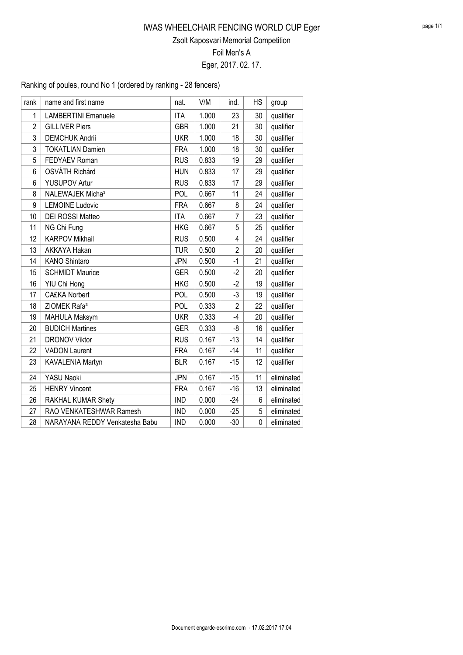Ranking of poules, round No 1 (ordered by ranking - 28 fencers)

| rank           | name and first name            | nat.       | V/M   | ind.           | <b>HS</b> | group      |
|----------------|--------------------------------|------------|-------|----------------|-----------|------------|
| 1              | <b>LAMBERTINI Emanuele</b>     | <b>ITA</b> | 1.000 | 23             | 30        | qualifier  |
| $\overline{2}$ | <b>GILLIVER Piers</b>          | <b>GBR</b> | 1.000 | 21             | 30        | qualifier  |
| 3              | <b>DEMCHUK Andrii</b>          | <b>UKR</b> | 1.000 | 18             | 30        | qualifier  |
| 3              | <b>TOKATLIAN Damien</b>        | <b>FRA</b> | 1.000 | 18             | 30        | qualifier  |
| 5              | <b>FEDYAEV Roman</b>           | <b>RUS</b> | 0.833 | 19             | 29        | qualifier  |
| 6              | OSVÁTH Richárd                 | <b>HUN</b> | 0.833 | 17             | 29        | qualifier  |
| 6              | <b>YUSUPOV Artur</b>           | <b>RUS</b> | 0.833 | 17             | 29        | qualifier  |
| 8              | NALEWAJEK Micha <sup>3</sup>   | POL        | 0.667 | 11             | 24        | qualifier  |
| 9              | <b>LEMOINE Ludovic</b>         | <b>FRA</b> | 0.667 | 8              | 24        | qualifier  |
| 10             | <b>DEI ROSSI Matteo</b>        | <b>ITA</b> | 0.667 | 7              | 23        | qualifier  |
| 11             | NG Chi Fung                    | <b>HKG</b> | 0.667 | 5              | 25        | qualifier  |
| 12             | <b>KARPOV Mikhail</b>          | <b>RUS</b> | 0.500 | 4              | 24        | qualifier  |
| 13             | <b>AKKAYA Hakan</b>            | <b>TUR</b> | 0.500 | $\overline{2}$ | 20        | qualifier  |
| 14             | <b>KANO Shintaro</b>           | <b>JPN</b> | 0.500 | $-1$           | 21        | qualifier  |
| 15             | <b>SCHMIDT Maurice</b>         | <b>GER</b> | 0.500 | $-2$           | 20        | qualifier  |
| 16             | YIU Chi Hong                   | <b>HKG</b> | 0.500 | $-2$           | 19        | qualifier  |
| 17             | <b>CA£KA Norbert</b>           | POL        | 0.500 | $-3$           | 19        | qualifier  |
| 18             | ZIOMEK Rafa <sup>3</sup>       | POL        | 0.333 | $\overline{2}$ | 22        | qualifier  |
| 19             | MAHULA Maksym                  | <b>UKR</b> | 0.333 | $-4$           | 20        | qualifier  |
| 20             | <b>BUDICH Martines</b>         | <b>GER</b> | 0.333 | -8             | 16        | qualifier  |
| 21             | <b>DRONOV Viktor</b>           | <b>RUS</b> | 0.167 | $-13$          | 14        | qualifier  |
| 22             | <b>VADON Laurent</b>           | <b>FRA</b> | 0.167 | $-14$          | 11        | qualifier  |
| 23             | KAVALENIA Martyn               | <b>BLR</b> | 0.167 | $-15$          | 12        | qualifier  |
| 24             | YASU Naoki                     | <b>JPN</b> | 0.167 | $-15$          | 11        | eliminated |
| 25             | <b>HENRY Vincent</b>           | <b>FRA</b> | 0.167 | $-16$          | 13        | eliminated |
| 26             | RAKHAL KUMAR Shety             | <b>IND</b> | 0.000 | $-24$          | 6         | eliminated |
| 27             | RAO VENKATESHWAR Ramesh        | <b>IND</b> | 0.000 | $-25$          | 5         | eliminated |
| 28             | NARAYANA REDDY Venkatesha Babu | <b>IND</b> | 0.000 | $-30$          | 0         | eliminated |
|                |                                |            |       |                |           |            |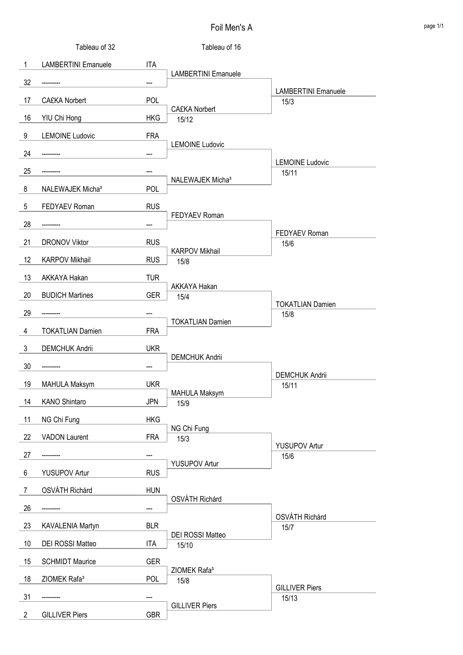|                 | Tableau of 32                |            | Tableau of 16                    |                                    |
|-----------------|------------------------------|------------|----------------------------------|------------------------------------|
| $\mathbf{1}$    | <b>LAMBERTINI Emanuele</b>   | <b>ITA</b> |                                  |                                    |
| 32              |                              | ---        | <b>LAMBERTINI Emanuele</b>       |                                    |
| 17              | <b>CA£KA Norbert</b>         | <b>POL</b> |                                  | <b>LAMBERTINI Emanuele</b><br>15/3 |
| 16              | YIU Chi Hong                 | <b>HKG</b> | <b>CA£KA Norbert</b><br>15/12    |                                    |
| 9               | <b>LEMOINE Ludovic</b>       | <b>FRA</b> |                                  |                                    |
| 24              |                              |            | <b>LEMOINE Ludovic</b>           |                                    |
| 25              |                              |            |                                  | <b>LEMOINE Ludovic</b><br>15/11    |
| 8               | NALEWAJEK Micha <sup>3</sup> | <b>POL</b> | NALEWAJEK Micha <sup>3</sup>     |                                    |
| $5\phantom{.0}$ | FEDYAEV Roman                | <b>RUS</b> |                                  |                                    |
| 28              |                              |            | FEDYAEV Roman                    |                                    |
| 21              | <b>DRONOV Viktor</b>         | <b>RUS</b> |                                  | <b>FEDYAEV Roman</b><br>15/6       |
| 12              | <b>KARPOV Mikhail</b>        | <b>RUS</b> | <b>KARPOV Mikhail</b><br>15/8    |                                    |
| 13              | AKKAYA Hakan                 | <b>TUR</b> |                                  |                                    |
| 20              | <b>BUDICH Martines</b>       | <b>GER</b> | AKKAYA Hakan<br>15/4             |                                    |
| 29              |                              |            |                                  | <b>TOKATLIAN Damien</b><br>15/8    |
| 4               | <b>TOKATLIAN Damien</b>      | <b>FRA</b> | <b>TOKATLIAN Damien</b>          |                                    |
| $\mathbf{3}$    | <b>DEMCHUK Andrii</b>        | <b>UKR</b> |                                  |                                    |
| 30              |                              |            | <b>DEMCHUK Andrii</b>            |                                    |
| 19              | <b>MAHULA Maksym</b>         | <b>UKR</b> |                                  | <b>DEMCHUK Andrii</b><br>15/11     |
| 14              | KANO Shintaro                | <b>JPN</b> | <b>MAHULA Maksym</b><br>15/9     |                                    |
| 11              | NG Chi Fung                  | <b>HKG</b> |                                  |                                    |
| 22              | <b>VADON Laurent</b>         | <b>FRA</b> | NG Chi Fung<br>15/3              |                                    |
| 27              |                              |            |                                  | <b>YUSUPOV Artur</b><br>15/6       |
| 6               | <b>YUSUPOV Artur</b>         | <b>RUS</b> | <b>YUSUPOV Artur</b>             |                                    |
| $\overline{7}$  | OSVÁTH Richárd               | <b>HUN</b> |                                  |                                    |
| 26              |                              | ---        | OSVÁTH Richárd                   |                                    |
| 23              | KAVALENIA Martyn             | <b>BLR</b> |                                  | OSVÁTH Richárd<br>15/7             |
| 10              | DEI ROSSI Matteo             | <b>ITA</b> | DEI ROSSI Matteo<br>15/10        |                                    |
| 15              | <b>SCHMIDT Maurice</b>       | <b>GER</b> |                                  |                                    |
| 18              | ZIOMEK Rafa <sup>3</sup>     | <b>POL</b> | ZIOMEK Rafa <sup>3</sup><br>15/8 |                                    |
| 31              |                              |            |                                  | <b>GILLIVER Piers</b><br>15/13     |
| $\overline{2}$  | <b>GILLIVER Piers</b>        | <b>GBR</b> | <b>GILLIVER Piers</b>            |                                    |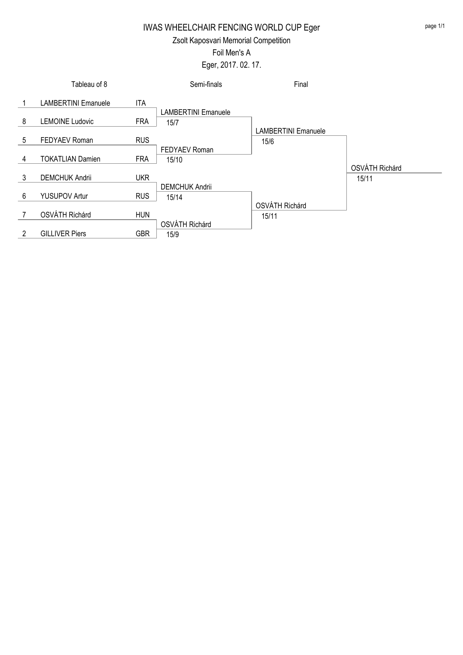## IWAS WHEELCHAIR FENCING WORLD CUP Eger

#### Zsolt Kaposvari Memorial Competition

#### Foil Men's A

### Eger, 2017. 02. 17.

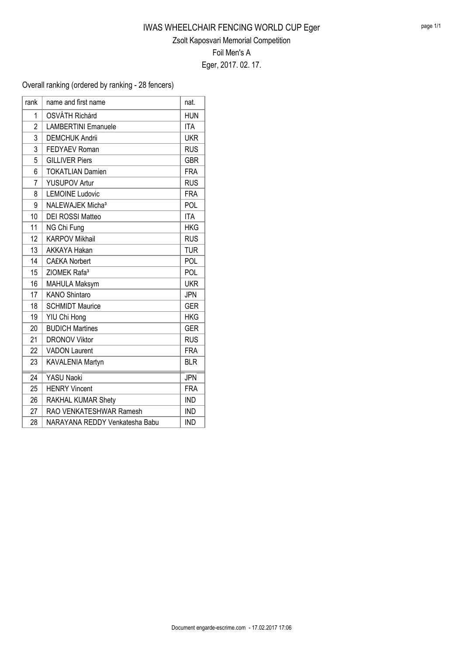Overall ranking (ordered by ranking - 28 fencers)

| rank           | name and first name            | nat.       |
|----------------|--------------------------------|------------|
| 1              | <b>OSVÁTH Richárd</b>          | <b>HUN</b> |
| $\overline{2}$ | <b>LAMBERTINI Emanuele</b>     | <b>ITA</b> |
| 3              | <b>DEMCHUK Andrii</b>          | <b>UKR</b> |
| 3              | <b>FEDYAEV Roman</b>           | <b>RUS</b> |
| 5              | <b>GILLIVER Piers</b>          | <b>GBR</b> |
| 6              | <b>TOKATLIAN Damien</b>        | <b>FRA</b> |
| $\overline{7}$ | <b>YUSUPOV Artur</b>           | <b>RUS</b> |
| 8              | <b>LEMOINE Ludovic</b>         | <b>FRA</b> |
| 9              | NALEWAJEK Micha <sup>3</sup>   | POL        |
| 10             | <b>DEI ROSSI Matteo</b>        | <b>ITA</b> |
| 11             | NG Chi Fung                    | <b>HKG</b> |
| 12             | <b>KARPOV Mikhail</b>          | <b>RUS</b> |
| 13             | <b>AKKAYA Hakan</b>            | <b>TUR</b> |
| 14             | <b>CA£KA Norbert</b>           | POL        |
| 15             | ZIOMEK Rafa <sup>3</sup>       | POL        |
| 16             | MAHULA Maksym                  | <b>UKR</b> |
| 17             | <b>KANO Shintaro</b>           | <b>JPN</b> |
| 18             | <b>SCHMIDT Maurice</b>         | <b>GER</b> |
| 19             | YIU Chi Hong                   | <b>HKG</b> |
| 20             | <b>BUDICH Martines</b>         | <b>GER</b> |
| 21             | <b>DRONOV Viktor</b>           | <b>RUS</b> |
| 22             | <b>VADON Laurent</b>           | <b>FRA</b> |
| 23             | KAVALENIA Martyn               | <b>BLR</b> |
| 24             | <b>YASU Naoki</b>              | <b>JPN</b> |
| 25             | <b>HENRY Vincent</b>           | <b>FRA</b> |
| 26             | RAKHAL KUMAR Shety             | <b>IND</b> |
| 27             | RAO VENKATESHWAR Ramesh        | <b>IND</b> |
| 28             | NARAYANA REDDY Venkatesha Babu | <b>IND</b> |